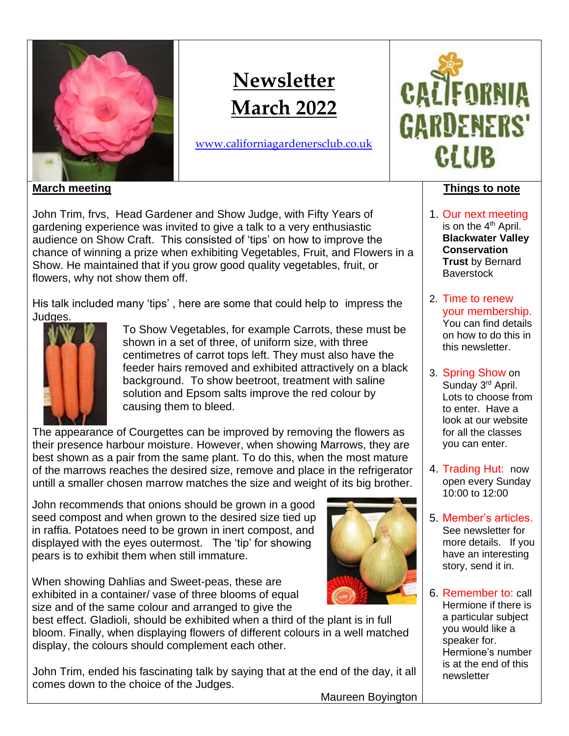

# **Newsletter March 2022**

[www.californiagardenersclub.co.uk](http://www.californiagardenersclub.co.uk/)



## **Things to note**

- 1. Our next meeting is on the 4<sup>th</sup> April. **Blackwater Valley Conservation Trust** by Bernard **Baverstock**
- 2. Time to renew your membership. You can find details on how to do this in this newsletter.
- 3. Spring Show on Sunday 3<sup>rd</sup> April. Lots to choose from to enter. Have a look at our website for all the classes you can enter.
- 4. Trading Hut: now open every Sunday 10:00 to 12:00
- 5. Member's articles. See newsletter for more details. If you have an interesting story, send it in.
- 6. Remember to: call Hermione if there is a particular subject you would like a speaker for. Hermione's number is at the end of this newsletter

**March meeting**

John Trim, frvs, Head Gardener and Show Judge, with Fifty Years of gardening experience was invited to give a talk to a very enthusiastic audience on Show Craft. This consisted of 'tips' on how to improve the chance of winning a prize when exhibiting Vegetables, Fruit, and Flowers in a Show. He maintained that if you grow good quality vegetables, fruit, or flowers, why not show them off.

His talk included many 'tips' , here are some that could help to impress the Judges.



To Show Vegetables, for example Carrots, these must be shown in a set of three, of uniform size, with three centimetres of carrot tops left. They must also have the feeder hairs removed and exhibited attractively on a black background. To show beetroot, treatment with saline solution and Epsom salts improve the red colour by causing them to bleed.

The appearance of Courgettes can be improved by removing the flowers as their presence harbour moisture. However, when showing Marrows, they are best shown as a pair from the same plant. To do this, when the most mature of the marrows reaches the desired size, remove and place in the refrigerator untill a smaller chosen marrow matches the size and weight of its big brother.

John recommends that onions should be grown in a good seed compost and when grown to the desired size tied up in raffia. Potatoes need to be grown in inert compost, and displayed with the eyes outermost. The 'tip' for showing pears is to exhibit them when still immature.

When showing Dahlias and Sweet-peas, these are exhibited in a container/ vase of three blooms of equal size and of the same colour and arranged to give the

best effect. Gladioli, should be exhibited when a third of the plant is in full bloom. Finally, when displaying flowers of different colours in a well matched display, the colours should complement each other.

John Trim, ended his fascinating talk by saying that at the end of the day, it all comes down to the choice of the Judges.

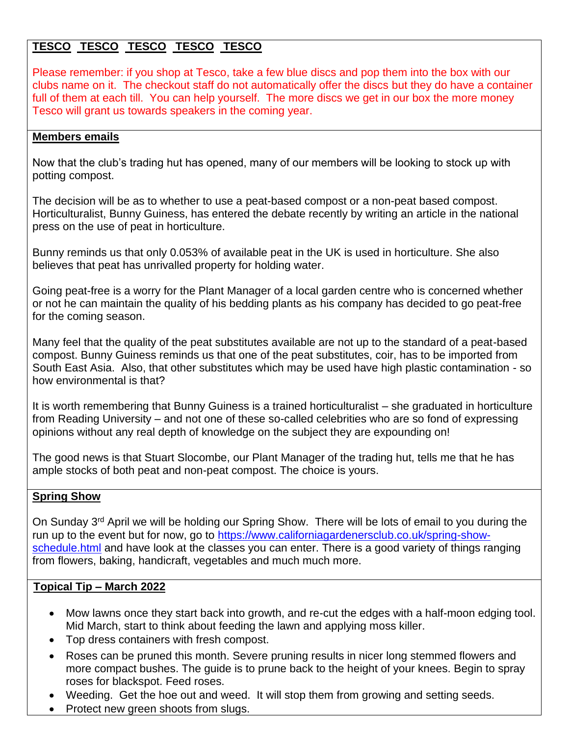# **TESCO TESCO TESCO TESCO TESCO**

Please remember: if you shop at Tesco, take a few blue discs and pop them into the box with our clubs name on it. The checkout staff do not automatically offer the discs but they do have a container full of them at each till. You can help yourself. The more discs we get in our box the more money Tesco will grant us towards speakers in the coming year.

## **Members emails**

Now that the club's trading hut has opened, many of our members will be looking to stock up with potting compost.

The decision will be as to whether to use a peat-based compost or a non-peat based compost. Horticulturalist, Bunny Guiness, has entered the debate recently by writing an article in the national press on the use of peat in horticulture.

Bunny reminds us that only 0.053% of available peat in the UK is used in horticulture. She also believes that peat has unrivalled property for holding water.

Going peat-free is a worry for the Plant Manager of a local garden centre who is concerned whether or not he can maintain the quality of his bedding plants as his company has decided to go peat-free for the coming season.

Many feel that the quality of the peat substitutes available are not up to the standard of a peat-based compost. Bunny Guiness reminds us that one of the peat substitutes, coir, has to be imported from South East Asia. Also, that other substitutes which may be used have high plastic contamination - so how environmental is that?

It is worth remembering that Bunny Guiness is a trained horticulturalist – she graduated in horticulture from Reading University – and not one of these so-called celebrities who are so fond of expressing opinions without any real depth of knowledge on the subject they are expounding on!

The good news is that Stuart Slocombe, our Plant Manager of the trading hut, tells me that he has ample stocks of both peat and non-peat compost. The choice is yours.

## **Spring Show**

On Sunday 3<sup>rd</sup> April we will be holding our Spring Show. There will be lots of email to you during the run up to the event but for now, go to [https://www.californiagardenersclub.co.uk/spring-show](https://www.californiagardenersclub.co.uk/spring-show-schedule.html)[schedule.html](https://www.californiagardenersclub.co.uk/spring-show-schedule.html) and have look at the classes you can enter. There is a good variety of things ranging from flowers, baking, handicraft, vegetables and much much more.

#### **Topical Tip – March 2022**

- Mow lawns once they start back into growth, and re-cut the edges with a half-moon edging tool. Mid March, start to think about feeding the lawn and applying moss killer.
- Top dress containers with fresh compost.
- [Roses can be pruned this month.](http://www.thegardenhelper.com/pruningroses.htm) Severe pruning results in nicer long stemmed flowers and more compact bushes. The guide is to prune back to the height of your knees. Begin to spray roses for blackspot. Feed roses.
- Weeding. Get the hoe out and weed. It will stop them from growing and setting seeds.
- Protect new green shoots from slugs.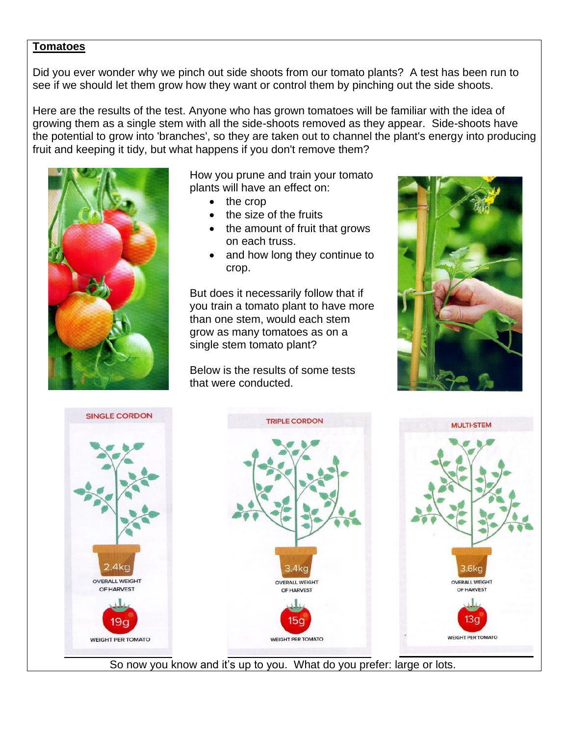#### **Tomatoes**

Did you ever wonder why we pinch out side shoots from our tomato plants? A test has been run to see if we should let them grow how they want or control them by pinching out the side shoots.

Here are the results of the test. Anyone who has grown tomatoes will be familiar with the idea of growing them as a single stem with all the side-shoots removed as they appear. Side-shoots have the potential to grow into 'branches', so they are taken out to channel the plant's energy into producing fruit and keeping it tidy, but what happens if you don't remove them?



How you prune and train your tomato plants will have an effect on:

- the crop
- the size of the fruits
- the amount of fruit that grows on each truss.
- and how long they continue to crop.

But does it necessarily follow that if you train a tomato plant to have more than one stem, would each stem grow as many tomatoes as on a single stem tomato plant?

Below is the results of some tests that were conducted.





So now you know and it's up to you. What do you prefer: large or lots.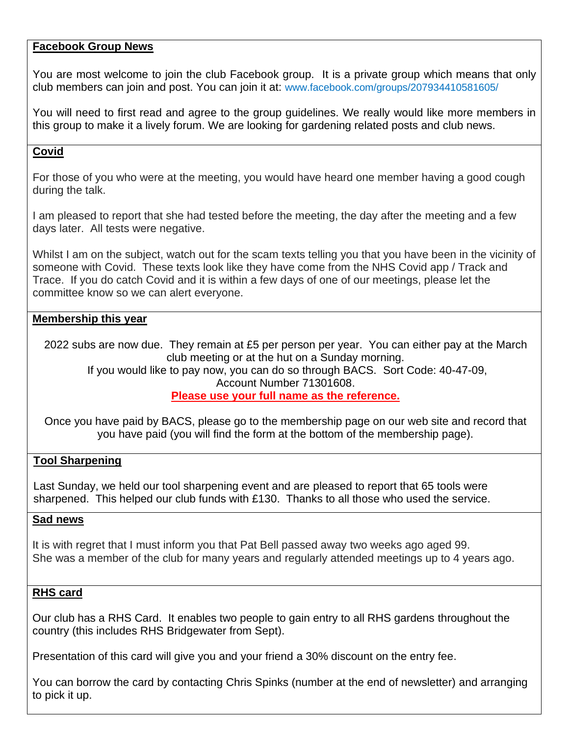#### **Facebook Group News**

You are most welcome to join the club Facebook group. It is a private group which means that only club members can join and post. You can join it at: [www.facebook.com/groups/207934410581605/](http://www.facebook.com/groups/207934410581605/)

You will need to first read and agree to the group guidelines. We really would like more members in this group to make it a lively forum. We are looking for gardening related posts and club news.

## **Covid**

For those of you who were at the meeting, you would have heard one member having a good cough during the talk.

I am pleased to report that she had tested before the meeting, the day after the meeting and a few days later. All tests were negative.

Whilst I am on the subject, watch out for the scam texts telling you that you have been in the vicinity of someone with Covid. These texts look like they have come from the NHS Covid app / Track and Trace. If you do catch Covid and it is within a few days of one of our meetings, please let the committee know so we can alert everyone.

## **Membership this year**

2022 subs are now due. They remain at £5 per person per year. You can either pay at the March club meeting or at the hut on a Sunday morning.

If you would like to pay now, you can do so through BACS. Sort Code: 40-47-09, Account Number 71301608.

#### **Please use your full name as the reference.**

Once you have paid by BACS, please go to the membership page on our web site and record that you have paid (you will find the form at the bottom of the membership page).

## **Tool Sharpening**

Last Sunday, we held our tool sharpening event and are pleased to report that 65 tools were sharpened. This helped our club funds with £130. Thanks to all those who used the service.

#### **Sad news**

It is with regret that I must inform you that Pat Bell passed away two weeks ago aged 99. She was a member of the club for many years and regularly attended meetings up to 4 years ago.

#### **RHS card**

Our club has a RHS Card. It enables two people to gain entry to all RHS gardens throughout the country (this includes RHS Bridgewater from Sept).

Presentation of this card will give you and your friend a 30% discount on the entry fee.

You can borrow the card by contacting Chris Spinks (number at the end of newsletter) and arranging to pick it up.